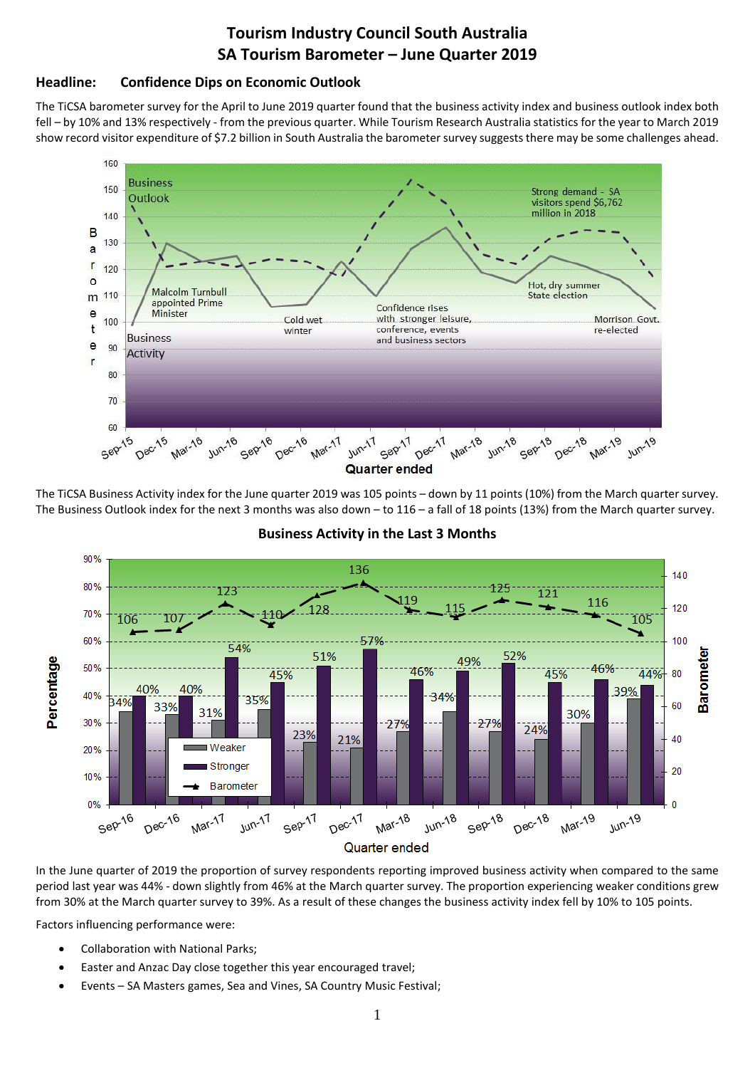# **Tourism Industry Council South Australia SA Tourism Barometer – June Quarter 2019**

## **Headline: Confidence Dips on Economic Outlook**

The TiCSA barometer survey for the April to June 2019 quarter found that the business activity index and business outlook index both fell – by 10% and 13% respectively - from the previous quarter. While Tourism Research Australia statistics for the year to March 2019 show record visitor expenditure of \$7.2 billion in South Australia the barometer survey suggests there may be some challenges ahead.



The TiCSA Business Activity index for the June quarter 2019 was 105 points – down by 11 points (10%) from the March quarter survey. The Business Outlook index for the next 3 months was also down – to 116 – a fall of 18 points (13%) from the March quarter survey.



#### **Business Activity in the Last 3 Months**

In the June quarter of 2019 the proportion of survey respondents reporting improved business activity when compared to the same period last year was 44% - down slightly from 46% at the March quarter survey. The proportion experiencing weaker conditions grew from 30% at the March quarter survey to 39%. As a result of these changes the business activity index fell by 10% to 105 points.

Factors influencing performance were:

- Collaboration with National Parks;
- Easter and Anzac Day close together this year encouraged travel;
- Events SA Masters games, Sea and Vines, SA Country Music Festival;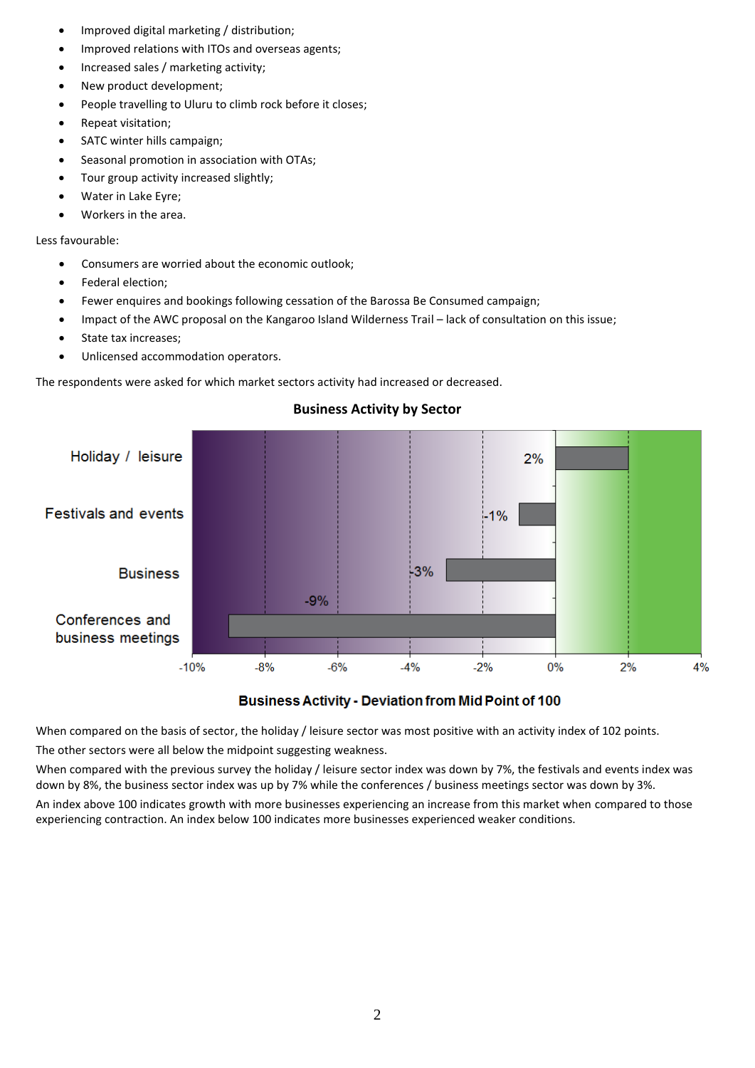- Improved digital marketing / distribution;
- Improved relations with ITOs and overseas agents;
- Increased sales / marketing activity;
- New product development:
- People travelling to Uluru to climb rock before it closes;
- Repeat visitation;
- SATC winter hills campaign;
- Seasonal promotion in association with OTAs;
- Tour group activity increased slightly;
- Water in Lake Eyre;
- Workers in the area.

Less favourable:

- Consumers are worried about the economic outlook;
- Federal election;
- Fewer enquires and bookings following cessation of the Barossa Be Consumed campaign;
- Impact of the AWC proposal on the Kangaroo Island Wilderness Trail lack of consultation on this issue;
- State tax increases;
- Unlicensed accommodation operators.

The respondents were asked for which market sectors activity had increased or decreased.



## **Business Activity by Sector**

**Business Activity - Deviation from Mid Point of 100** 

When compared on the basis of sector, the holiday / leisure sector was most positive with an activity index of 102 points. The other sectors were all below the midpoint suggesting weakness.

When compared with the previous survey the holiday / leisure sector index was down by 7%, the festivals and events index was down by 8%, the business sector index was up by 7% while the conferences / business meetings sector was down by 3%. An index above 100 indicates growth with more businesses experiencing an increase from this market when compared to those

experiencing contraction. An index below 100 indicates more businesses experienced weaker conditions.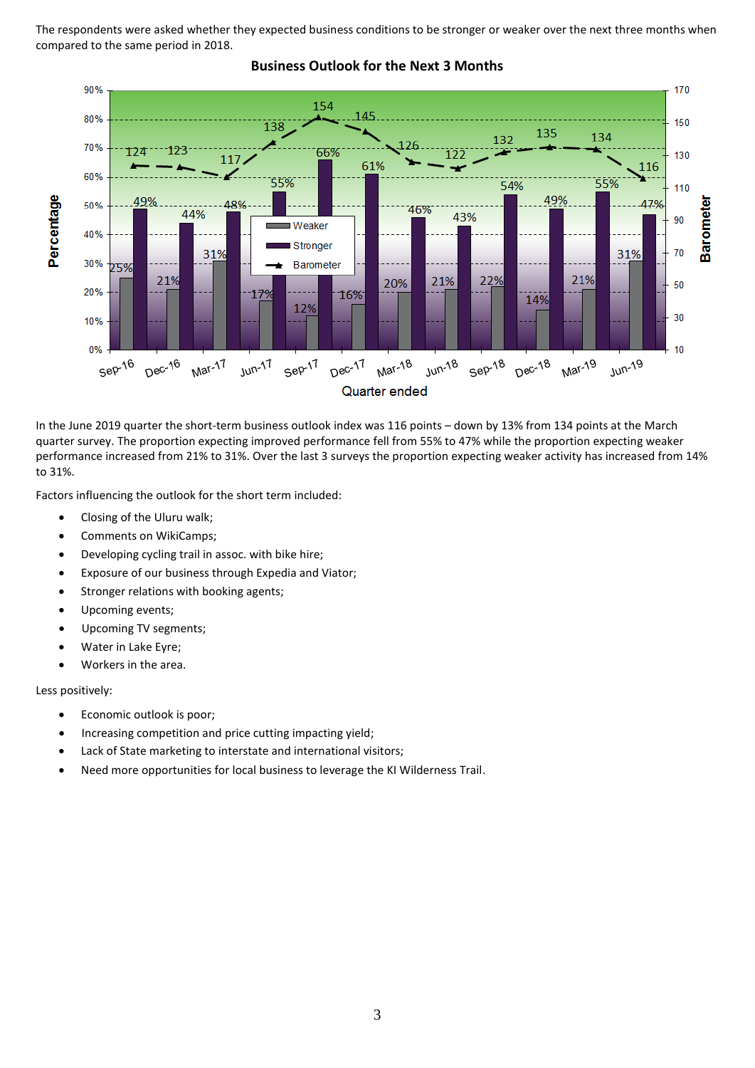The respondents were asked whether they expected business conditions to be stronger or weaker over the next three months when compared to the same period in 2018.



# **Business Outlook for the Next 3 Months**

In the June 2019 quarter the short-term business outlook index was 116 points – down by 13% from 134 points at the March quarter survey. The proportion expecting improved performance fell from 55% to 47% while the proportion expecting weaker performance increased from 21% to 31%. Over the last 3 surveys the proportion expecting weaker activity has increased from 14% to 31%.

Factors influencing the outlook for the short term included:

- Closing of the Uluru walk;
- Comments on WikiCamps;
- Developing cycling trail in assoc. with bike hire;
- Exposure of our business through Expedia and Viator;
- Stronger relations with booking agents;
- Upcoming events:
- Upcoming TV segments;
- Water in Lake Eyre;
- Workers in the area.

Less positively:

- Economic outlook is poor;
- Increasing competition and price cutting impacting yield;
- Lack of State marketing to interstate and international visitors;
- Need more opportunities for local business to leverage the KI Wilderness Trail.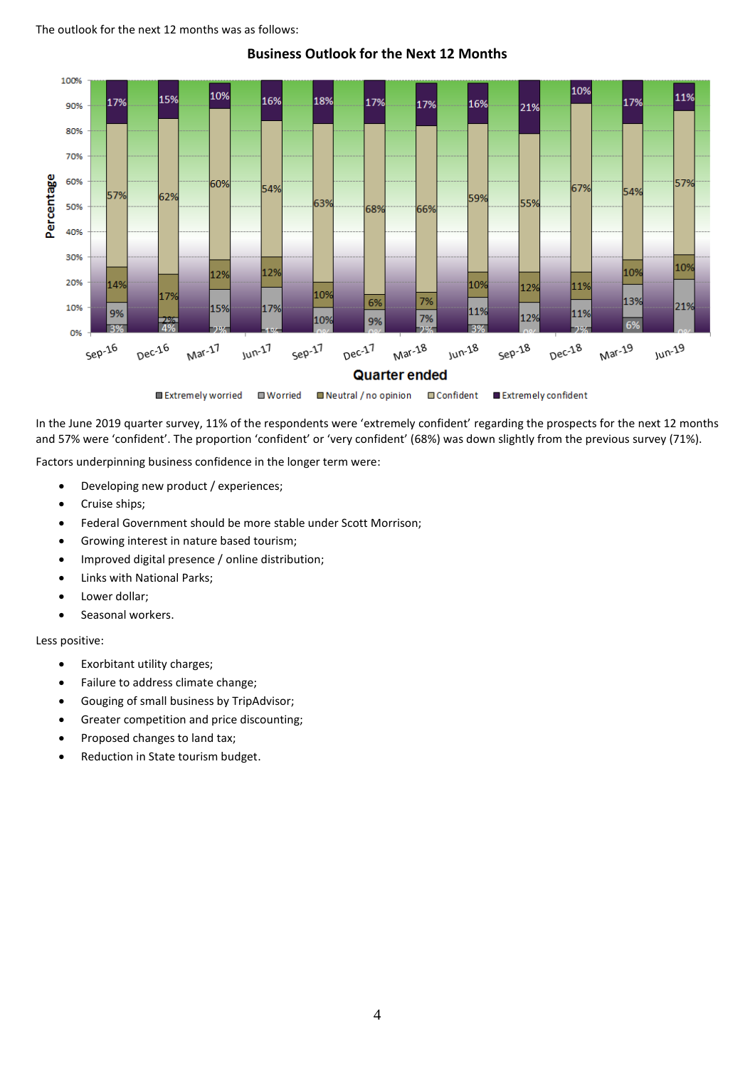#### The outlook for the next 12 months was as follows:



**Business Outlook for the Next 12 Months**

In the June 2019 quarter survey, 11% of the respondents were 'extremely confident' regarding the prospects for the next 12 months and 57% were 'confident'. The proportion 'confident' or 'very confident' (68%) was down slightly from the previous survey (71%).

Factors underpinning business confidence in the longer term were:

- Developing new product / experiences;
- Cruise ships;
- Federal Government should be more stable under Scott Morrison;
- Growing interest in nature based tourism;
- Improved digital presence / online distribution;
- Links with National Parks;
- Lower dollar;
- Seasonal workers.

Less positive:

- Exorbitant utility charges;
- Failure to address climate change;
- Gouging of small business by TripAdvisor;
- Greater competition and price discounting;
- Proposed changes to land tax;
- Reduction in State tourism budget.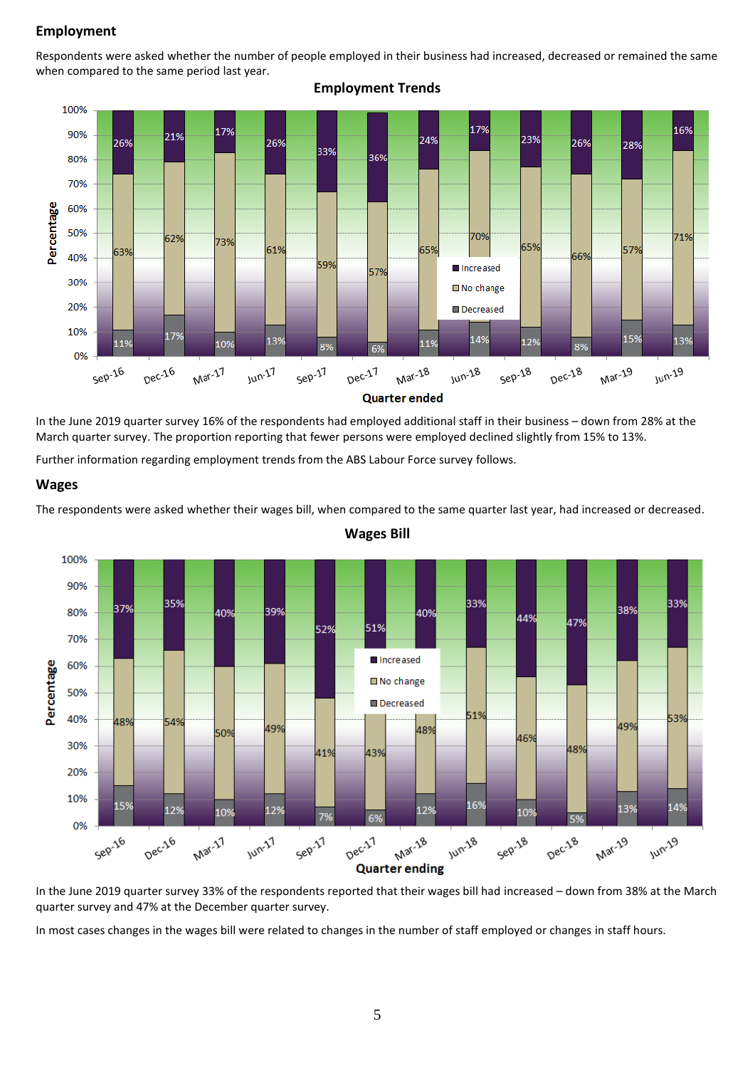## **Employment**

Respondents were asked whether the number of people employed in their business had increased, decreased or remained the same when compared to the same period last year.

**Employment Trends**



In the June 2019 quarter survey 16% of the respondents had employed additional staff in their business – down from 28% at the

March quarter survey. The proportion reporting that fewer persons were employed declined slightly from 15% to 13%.

Further information regarding employment trends from the ABS Labour Force survey follows.

#### **Wages**

The respondents were asked whether their wages bill, when compared to the same quarter last year, had increased or decreased.



**Wages Bill**

In the June 2019 quarter survey 33% of the respondents reported that their wages bill had increased – down from 38% at the March quarter survey and 47% at the December quarter survey.

In most cases changes in the wages bill were related to changes in the number of staff employed or changes in staff hours.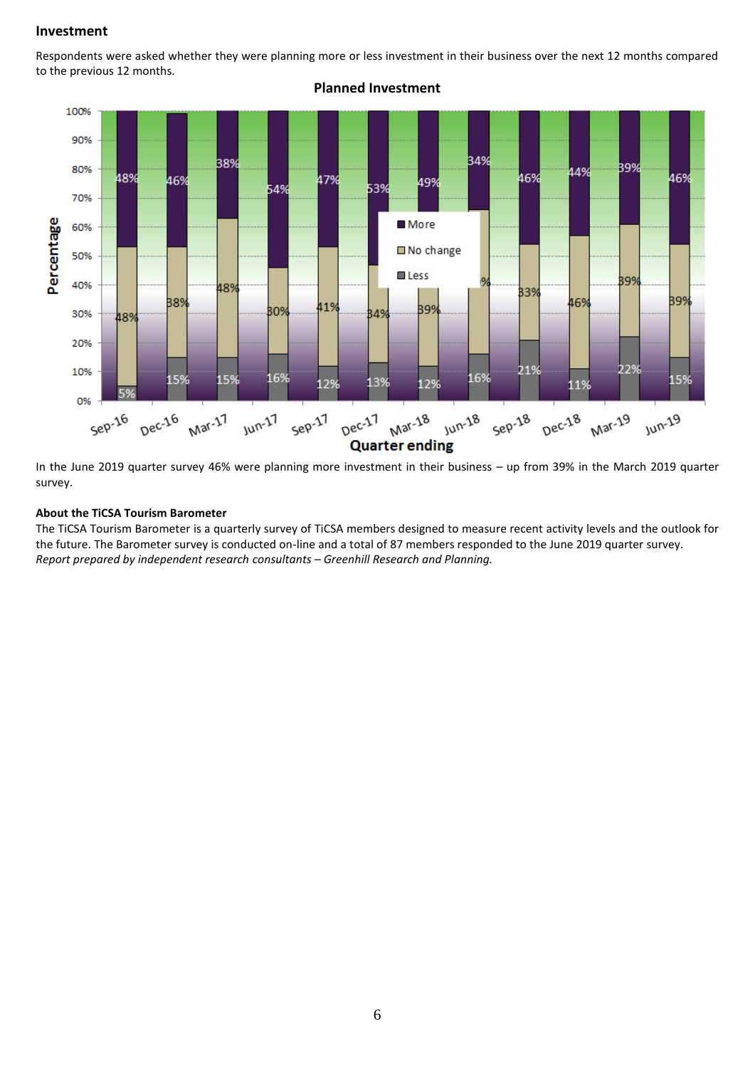#### **Investment**

Respondents were asked whether they were planning more or less investment in their business over the next 12 months compared to the previous 12 months.



**Planned Investment**

In the June 2019 quarter survey 46% were planning more investment in their business – up from 39% in the March 2019 quarter survey.

#### **About the TiCSA Tourism Barometer**

The TiCSA Tourism Barometer is a quarterly survey of TiCSA members designed to measure recent activity levels and the outlook for the future. The Barometer survey is conducted on-line and a total of 87 members responded to the June 2019 quarter survey. *Report prepared by independent research consultants – Greenhill Research and Planning.*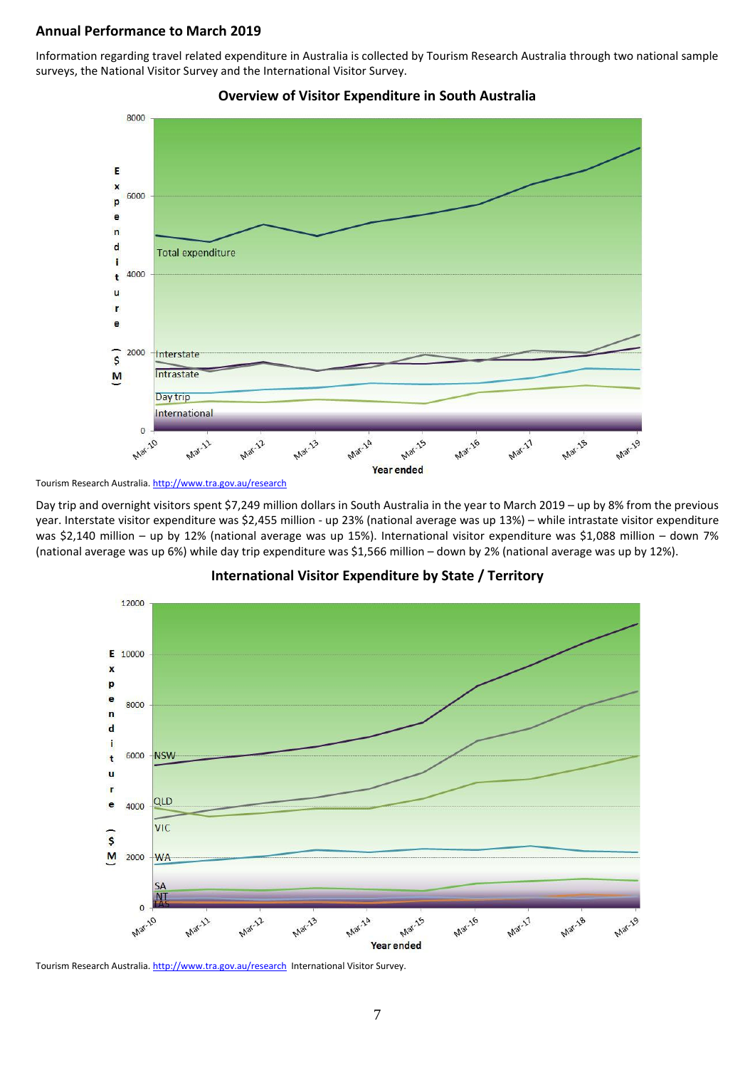### **Annual Performance to March 2019**

Information regarding travel related expenditure in Australia is collected by Tourism Research Australia through two national sample surveys, the National Visitor Survey and the International Visitor Survey.





Day trip and overnight visitors spent \$7,249 million dollars in South Australia in the year to March 2019 – up by 8% from the previous year. Interstate visitor expenditure was \$2,455 million - up 23% (national average was up 13%) – while intrastate visitor expenditure was \$2,140 million – up by 12% (national average was up 15%). International visitor expenditure was \$1,088 million – down 7% (national average was up 6%) while day trip expenditure was \$1,566 million – down by 2% (national average was up by 12%).



#### **International Visitor Expenditure by State / Territory**

Tourism Research Australia[. http://www.tra.gov.au/research](http://www.tra.gov.au/research) International Visitor Survey.

Tourism Research Australia[. http://www.tra.gov.au/research](http://www.tra.gov.au/research)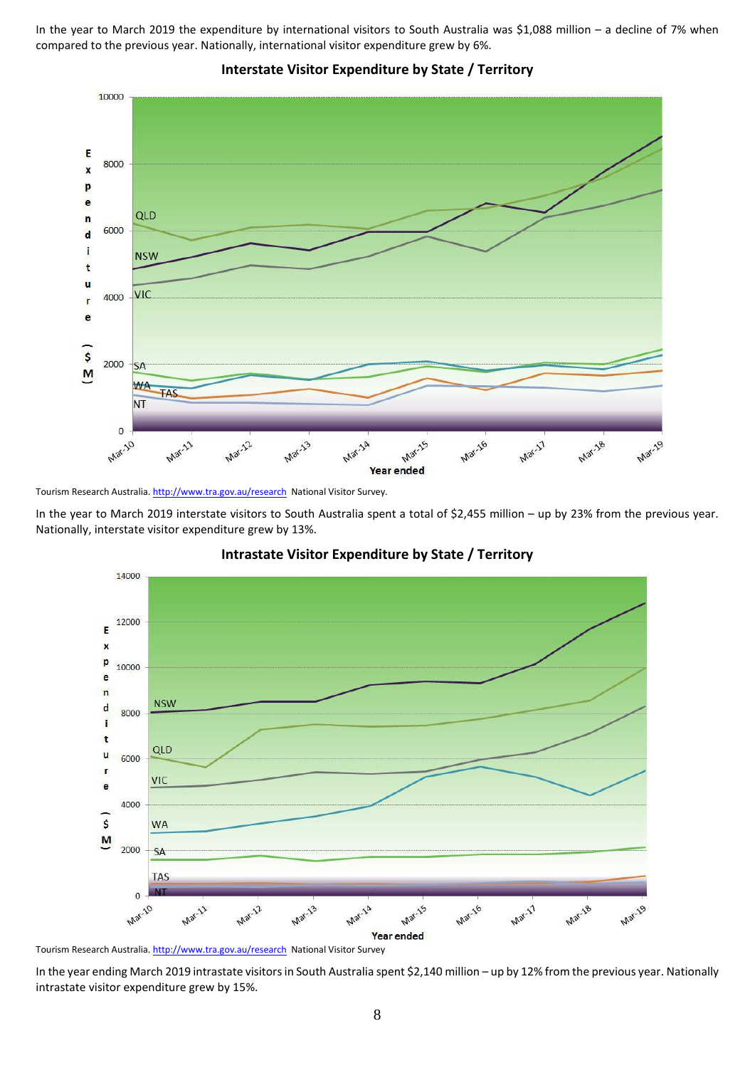In the year to March 2019 the expenditure by international visitors to South Australia was \$1,088 million – a decline of 7% when compared to the previous year. Nationally, international visitor expenditure grew by 6%.



**Interstate Visitor Expenditure by State / Territory**

Tourism Research Australia[. http://www.tra.gov.au/research](http://www.tra.gov.au/research) National Visitor Survey.

In the year to March 2019 interstate visitors to South Australia spent a total of \$2,455 million – up by 23% from the previous year. Nationally, interstate visitor expenditure grew by 13%.



#### **Intrastate Visitor Expenditure by State / Territory**

Tourism Research Australia[. http://www.tra.gov.au/research](http://www.tra.gov.au/research) National Visitor Survey

In the year ending March 2019 intrastate visitors in South Australia spent \$2,140 million – up by 12% from the previous year. Nationally intrastate visitor expenditure grew by 15%.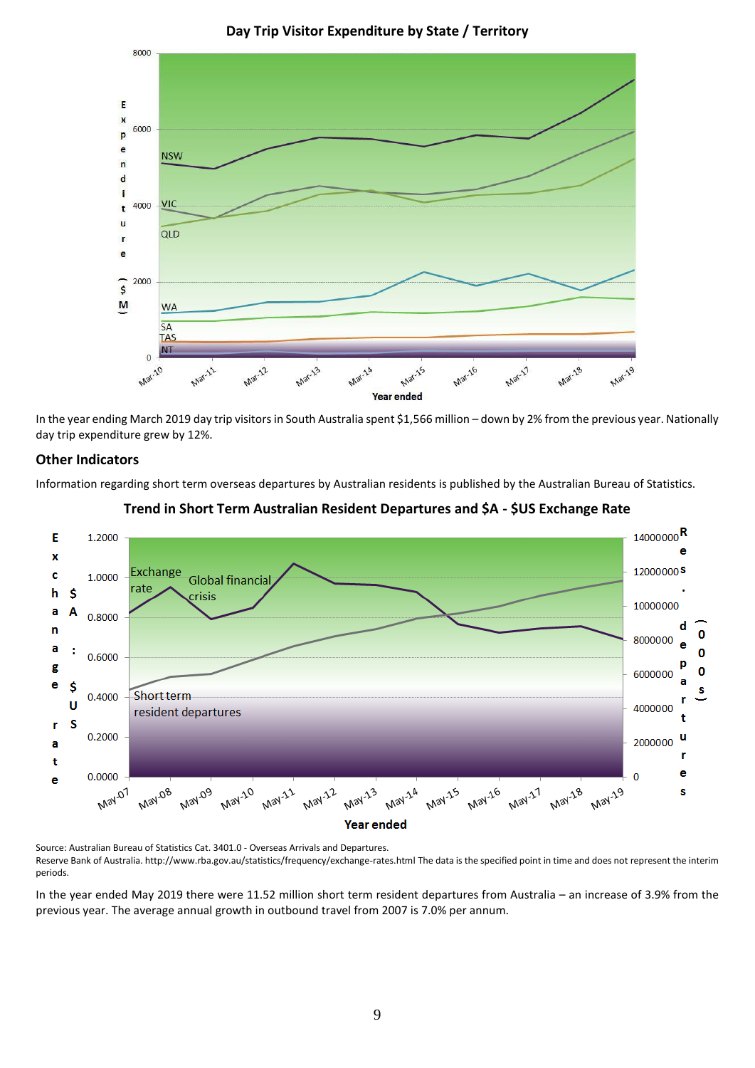

**Day Trip Visitor Expenditure by State / Territory**

In the year ending March 2019 day trip visitors in South Australia spent \$1,566 million – down by 2% from the previous year. Nationally day trip expenditure grew by 12%.

# **Other Indicators**

Information regarding short term overseas departures by Australian residents is published by the Australian Bureau of Statistics.





Source: Australian Bureau of Statistics Cat. 3401.0 - Overseas Arrivals and Departures. Reserve Bank of Australia. http://www.rba.gov.au/statistics/frequency/exchange-rates.html The data is the specified point in time and does not represent the interim periods.

In the year ended May 2019 there were 11.52 million short term resident departures from Australia – an increase of 3.9% from the previous year. The average annual growth in outbound travel from 2007 is 7.0% per annum.